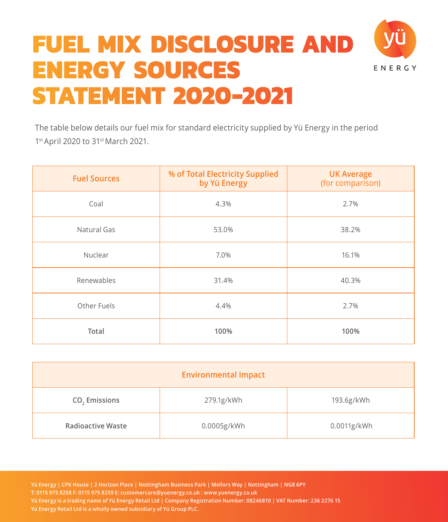## **FUEL MIX DISCLOSURE AND ENERGY SOURCES FNFRGY STATEMENT 2020-2021**



| <b>Fuel Sources</b> | % of Total Electricity Supplied<br>by Yü Energy | <b>UK Average</b><br>(for comparison) |
|---------------------|-------------------------------------------------|---------------------------------------|
| Coal                | 4.3%                                            | 2.7%                                  |
| Natural Gas         | 53.0%                                           | 38.2%                                 |
| Nuclear             | 7.0%                                            | 16.1%                                 |
| Renewables          | 31.4%                                           | 40.3%                                 |
| Other Fuels         | 4.4%                                            | 2.7%                                  |
| Total               | 100%                                            | 100%                                  |

| <b>Environmental Impact</b> |             |             |  |
|-----------------------------|-------------|-------------|--|
| CO <sub>2</sub> Emissions   | 279.1g/kWh  | 193.6g/kWh  |  |
| <b>Radioactive Waste</b>    | 0.0005g/kWh | 0.0011g/kWh |  |

**Yü Energy | CPK House | 2 Horizon Place | Nottingham Business Park | Mellors Way | Nottingham | NG8 6PY T: 0115 975 8258 F: 0115 975 8259 E: customercare@yuenergy.co.uk : www.yuenergy.co.uk Yü Energy is a trading name of Yü Energy Retail Ltd | Company Registration Number: 08246810 | VAT Number: 236 2276 15 Yü Energy Retail Ltd is a wholly owned subsidiary of Yü Group PLC.**